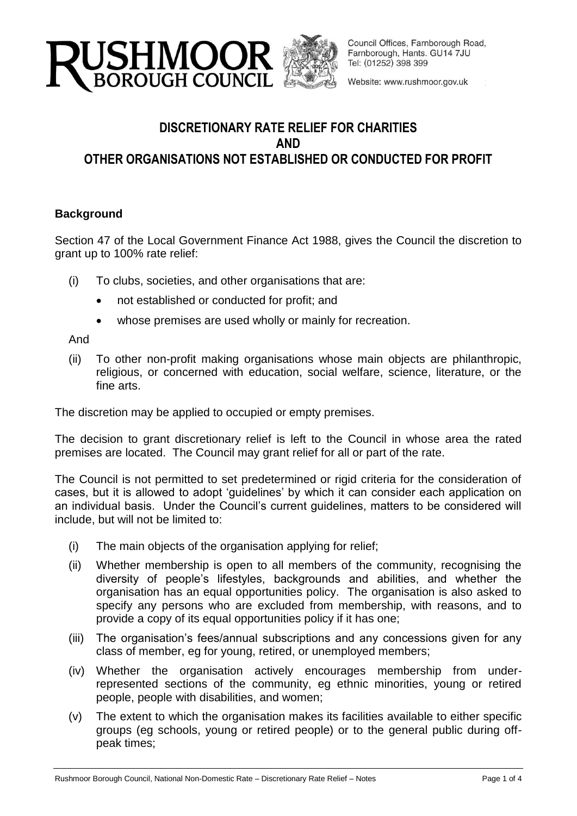



Council Offices, Farnborough Road, Farnborough, Hants. GU14 7JU Tel: (01252) 398 399

Website: www.rushmoor.gov.uk

# **DISCRETIONARY RATE RELIEF FOR CHARITIES AND OTHER ORGANISATIONS NOT ESTABLISHED OR CONDUCTED FOR PROFIT**

### **Background**

Section 47 of the Local Government Finance Act 1988, gives the Council the discretion to grant up to 100% rate relief:

- (i) To clubs, societies, and other organisations that are:
	- not established or conducted for profit; and
	- whose premises are used wholly or mainly for recreation.

And

(ii) To other non-profit making organisations whose main objects are philanthropic, religious, or concerned with education, social welfare, science, literature, or the fine arts.

The discretion may be applied to occupied or empty premises.

The decision to grant discretionary relief is left to the Council in whose area the rated premises are located. The Council may grant relief for all or part of the rate.

The Council is not permitted to set predetermined or rigid criteria for the consideration of cases, but it is allowed to adopt 'guidelines' by which it can consider each application on an individual basis. Under the Council's current guidelines, matters to be considered will include, but will not be limited to:

- (i) The main objects of the organisation applying for relief;
- (ii) Whether membership is open to all members of the community, recognising the diversity of people's lifestyles, backgrounds and abilities, and whether the organisation has an equal opportunities policy. The organisation is also asked to specify any persons who are excluded from membership, with reasons, and to provide a copy of its equal opportunities policy if it has one;
- (iii) The organisation's fees/annual subscriptions and any concessions given for any class of member, eg for young, retired, or unemployed members;
- (iv) Whether the organisation actively encourages membership from underrepresented sections of the community, eg ethnic minorities, young or retired people, people with disabilities, and women;
- (v) The extent to which the organisation makes its facilities available to either specific groups (eg schools, young or retired people) or to the general public during offpeak times;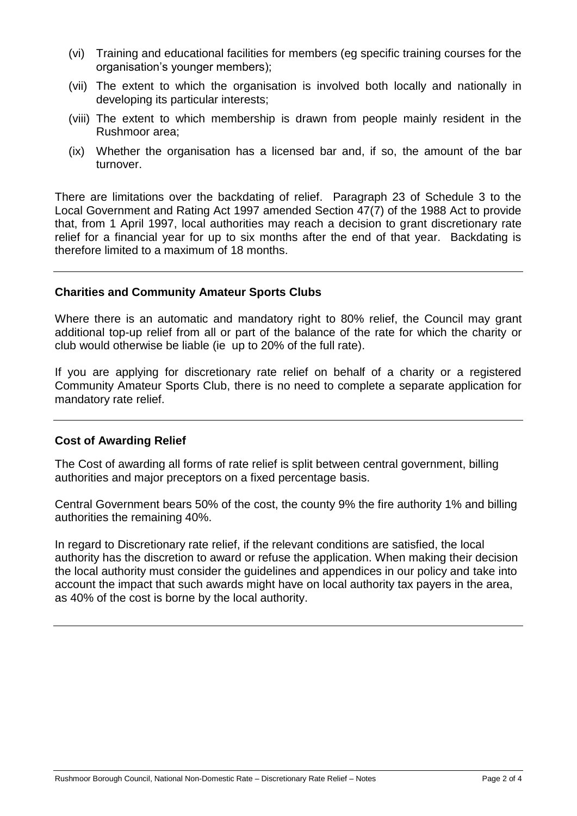- (vi) Training and educational facilities for members (eg specific training courses for the organisation's younger members);
- (vii) The extent to which the organisation is involved both locally and nationally in developing its particular interests;
- (viii) The extent to which membership is drawn from people mainly resident in the Rushmoor area;
- (ix) Whether the organisation has a licensed bar and, if so, the amount of the bar turnover.

There are limitations over the backdating of relief. Paragraph 23 of Schedule 3 to the Local Government and Rating Act 1997 amended Section 47(7) of the 1988 Act to provide that, from 1 April 1997, local authorities may reach a decision to grant discretionary rate relief for a financial year for up to six months after the end of that year. Backdating is therefore limited to a maximum of 18 months.

### **Charities and Community Amateur Sports Clubs**

Where there is an automatic and mandatory right to 80% relief, the Council may grant additional top-up relief from all or part of the balance of the rate for which the charity or club would otherwise be liable (ie up to 20% of the full rate).

If you are applying for discretionary rate relief on behalf of a charity or a registered Community Amateur Sports Club, there is no need to complete a separate application for mandatory rate relief.

### **Cost of Awarding Relief**

The Cost of awarding all forms of rate relief is split between central government, billing authorities and major preceptors on a fixed percentage basis.

Central Government bears 50% of the cost, the county 9% the fire authority 1% and billing authorities the remaining 40%.

In regard to Discretionary rate relief, if the relevant conditions are satisfied, the local authority has the discretion to award or refuse the application. When making their decision the local authority must consider the guidelines and appendices in our policy and take into account the impact that such awards might have on local authority tax payers in the area, as 40% of the cost is borne by the local authority.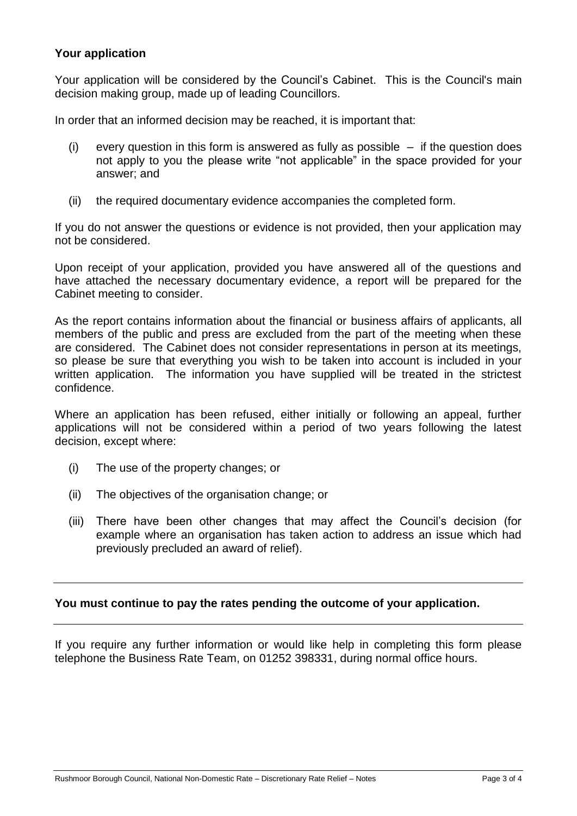### **Your application**

Your application will be considered by the Council's Cabinet. This is the Council's main decision making group, made up of leading Councillors.

In order that an informed decision may be reached, it is important that:

- (i) every question in this form is answered as fully as possible  $-$  if the question does not apply to you the please write "not applicable" in the space provided for your answer; and
- (ii) the required documentary evidence accompanies the completed form.

If you do not answer the questions or evidence is not provided, then your application may not be considered.

Upon receipt of your application, provided you have answered all of the questions and have attached the necessary documentary evidence, a report will be prepared for the Cabinet meeting to consider.

As the report contains information about the financial or business affairs of applicants, all members of the public and press are excluded from the part of the meeting when these are considered. The Cabinet does not consider representations in person at its meetings, so please be sure that everything you wish to be taken into account is included in your written application. The information you have supplied will be treated in the strictest confidence.

Where an application has been refused, either initially or following an appeal, further applications will not be considered within a period of two years following the latest decision, except where:

- (i) The use of the property changes; or
- (ii) The objectives of the organisation change; or
- (iii) There have been other changes that may affect the Council's decision (for example where an organisation has taken action to address an issue which had previously precluded an award of relief).

### **You must continue to pay the rates pending the outcome of your application.**

If you require any further information or would like help in completing this form please telephone the Business Rate Team, on 01252 398331, during normal office hours.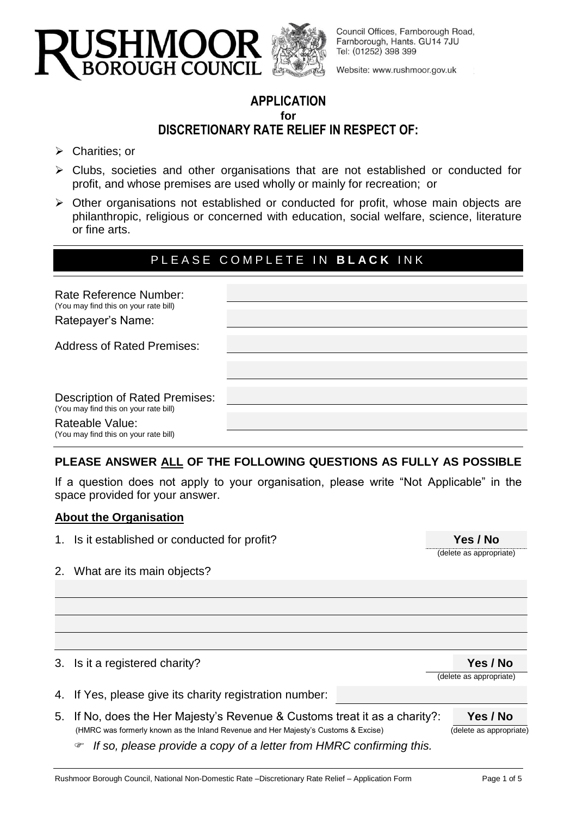

Council Offices, Farnborough Road, Farnborough, Hants. GU14 7JU Tel: (01252) 398 399

Website: www.rushmoor.gov.uk

# **APPLICATION for DISCRETIONARY RATE RELIEF IN RESPECT OF:**

- $\triangleright$  Charities; or
- Clubs, societies and other organisations that are not established or conducted for profit, and whose premises are used wholly or mainly for recreation; or
- $\triangleright$  Other organisations not established or conducted for profit, whose main objects are philanthropic, religious or concerned with education, social welfare, science, literature or fine arts.

# PLEASE COMPLETE IN **BLACK** INK

| Rate Reference Number:<br>(You may find this on your rate bill)<br>Ratepayer's Name:                                                       |  |
|--------------------------------------------------------------------------------------------------------------------------------------------|--|
| <b>Address of Rated Premises:</b>                                                                                                          |  |
| <b>Description of Rated Premises:</b><br>(You may find this on your rate bill)<br>Rateable Value:<br>(You may find this on your rate bill) |  |

### **PLEASE ANSWER ALL OF THE FOLLOWING QUESTIONS AS FULLY AS POSSIBLE**

If a question does not apply to your organisation, please write "Not Applicable" in the space provided for your answer.

### **About the Organisation**

1. Is it established or conducted for profit?

| Yes / No                |
|-------------------------|
| (delete as appropriate) |

2. What are its main objects?

3. Is it a registered charity? **Yes / No**

(delete as appropriate)

- 4. If Yes, please give its charity registration number:
- 5. If No, does the Her Majesty's Revenue & Customs treat it as a charity?: **Yes / No** (HMRC was formerly known as the Inland Revenue and Her Majesty's Customs & Excise) (delete as appropriate)
	- *If so, please provide a copy of a letter from HMRC confirming this.*

Rushmoor Borough Council, National Non-Domestic Rate –Discretionary Rate Relief – Application Form Page 1 of 5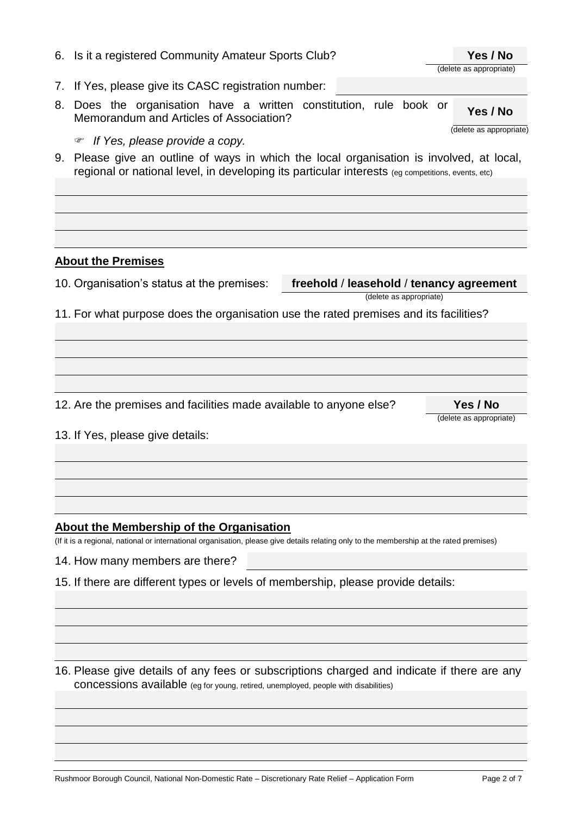| 6. | Is it a registered Community Amateur Sports Club?                                                                                                                                           | Yes / No                            |
|----|---------------------------------------------------------------------------------------------------------------------------------------------------------------------------------------------|-------------------------------------|
|    |                                                                                                                                                                                             | (delete as appropriate)             |
| 7. | If Yes, please give its CASC registration number:                                                                                                                                           |                                     |
| 8. | Does the organisation have a written constitution, rule book or<br>Memorandum and Articles of Association?                                                                                  | Yes / No<br>(delete as appropriate) |
|    | If Yes, please provide a copy.<br>☞                                                                                                                                                         |                                     |
| 9. | Please give an outline of ways in which the local organisation is involved, at local,<br>regional or national level, in developing its particular interests (eg competitions, events, etc)  |                                     |
|    | <b>About the Premises</b>                                                                                                                                                                   |                                     |
|    | 10. Organisation's status at the premises:<br>freehold / leasehold / tenancy agreement<br>(delete as appropriate)                                                                           |                                     |
|    | 11. For what purpose does the organisation use the rated premises and its facilities?                                                                                                       |                                     |
|    |                                                                                                                                                                                             | Yes / No                            |
|    | 12. Are the premises and facilities made available to anyone else?                                                                                                                          | (delete as appropriate)             |
|    | 13. If Yes, please give details:                                                                                                                                                            |                                     |
|    | <b>About the Membership of the Organisation</b><br>(If it is a regional, national or international organisation, please give details relating only to the membership at the rated premises) |                                     |
|    | 14. How many members are there?                                                                                                                                                             |                                     |
|    | 15. If there are different types or levels of membership, please provide details:                                                                                                           |                                     |
|    | 16. Please give details of any fees or subscriptions charged and indicate if there are any<br>concessions available (eg for young, retired, unemployed, people with disabilities)           |                                     |
|    |                                                                                                                                                                                             |                                     |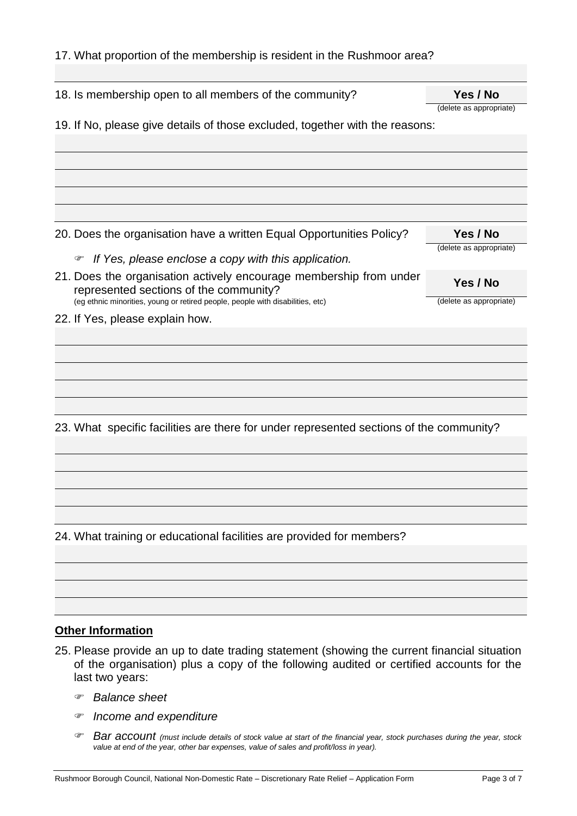| 17. What proportion of the membership is resident in the Rushmoor area?                 |                         |  |  |
|-----------------------------------------------------------------------------------------|-------------------------|--|--|
|                                                                                         |                         |  |  |
| 18. Is membership open to all members of the community?                                 | Yes / No                |  |  |
|                                                                                         | (delete as appropriate) |  |  |
| 19. If No, please give details of those excluded, together with the reasons:            |                         |  |  |
|                                                                                         |                         |  |  |
|                                                                                         |                         |  |  |
|                                                                                         |                         |  |  |
|                                                                                         |                         |  |  |
|                                                                                         |                         |  |  |
| 20. Does the organisation have a written Equal Opportunities Policy?                    | Yes / No                |  |  |
| If Yes, please enclose a copy with this application.<br>☞                               | (delete as appropriate) |  |  |
| 21. Does the organisation actively encourage membership from under                      |                         |  |  |
| represented sections of the community?                                                  | Yes / No                |  |  |
| (eg ethnic minorities, young or retired people, people with disabilities, etc)          | (delete as appropriate) |  |  |
| 22. If Yes, please explain how.                                                         |                         |  |  |
|                                                                                         |                         |  |  |
|                                                                                         |                         |  |  |
|                                                                                         |                         |  |  |
|                                                                                         |                         |  |  |
|                                                                                         |                         |  |  |
| 23. What specific facilities are there for under represented sections of the community? |                         |  |  |
|                                                                                         |                         |  |  |
|                                                                                         |                         |  |  |
|                                                                                         |                         |  |  |
|                                                                                         |                         |  |  |
|                                                                                         |                         |  |  |
| 24. What training or educational facilities are provided for members?                   |                         |  |  |
|                                                                                         |                         |  |  |
|                                                                                         |                         |  |  |
|                                                                                         |                         |  |  |
|                                                                                         |                         |  |  |

# **Other Information**

- 25. Please provide an up to date trading statement (showing the current financial situation of the organisation) plus a copy of the following audited or certified accounts for the last two years:
	- *Balance sheet*
	- *Income and expenditure*
	- *Bar account (must include details of stock value at start of the financial year, stock purchases during the year, stock value at end of the year, other bar expenses, value of sales and profit/loss in year).*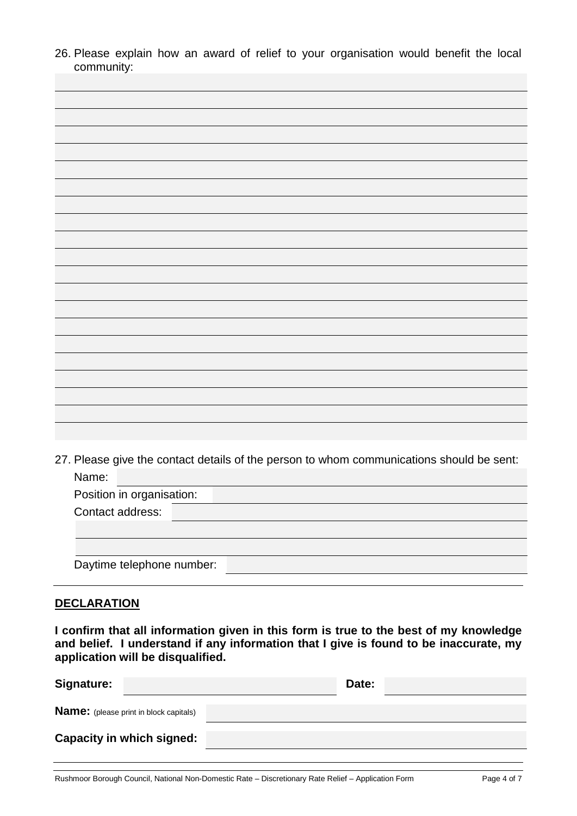26. Please explain how an award of relief to your organisation would benefit the local community:



27. Please give the contact details of the person to whom communications should be sent: Name: Position in organisation: Contact address:

|  | Daytime telephone number: |  |
|--|---------------------------|--|

## **DECLARATION**

**I confirm that all information given in this form is true to the best of my knowledge and belief. I understand if any information that I give is found to be inaccurate, my application will be disqualified.**

| <b>Signature:</b>                             | Date: |
|-----------------------------------------------|-------|
| <b>Name:</b> (please print in block capitals) |       |
| <b>Capacity in which signed:</b>              |       |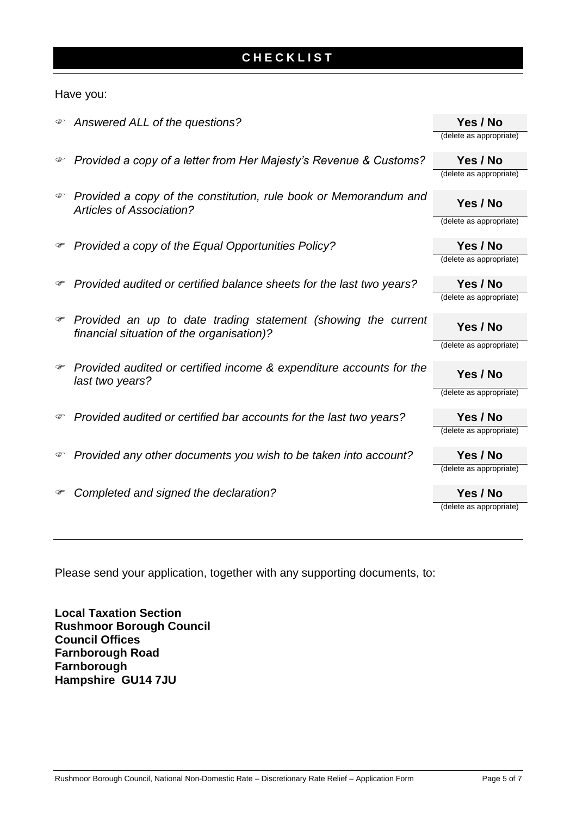# **C H E C K L I S T**

### Have you:

| Yes / No<br>Provided a copy of a letter from Her Majesty's Revenue & Customs?<br>☞<br>(delete as appropriate)<br>Provided a copy of the constitution, rule book or Memorandum and<br>☞<br>Yes / No<br><b>Articles of Association?</b><br>(delete as appropriate)<br>Provided a copy of the Equal Opportunities Policy?<br>Yes / No<br>☞<br>(delete as appropriate)<br>Yes / No<br>Provided audited or certified balance sheets for the last two years?<br>☞<br>(delete as appropriate)<br>Provided an up to date trading statement (showing the current<br>☞<br>Yes / No<br>financial situation of the organisation)?<br>(delete as appropriate)<br>Provided audited or certified income & expenditure accounts for the<br>☞<br>Yes / No<br>last two years?<br>(delete as appropriate)<br>Provided audited or certified bar accounts for the last two years?<br>Yes / No<br>☞<br>(delete as appropriate)<br>Yes / No<br>Provided any other documents you wish to be taken into account?<br>☞<br>(delete as appropriate)<br>Completed and signed the declaration?<br>Yes / No<br>☞<br>(delete as appropriate) | ☞ | Answered ALL of the questions? | Yes / No                |
|--------------------------------------------------------------------------------------------------------------------------------------------------------------------------------------------------------------------------------------------------------------------------------------------------------------------------------------------------------------------------------------------------------------------------------------------------------------------------------------------------------------------------------------------------------------------------------------------------------------------------------------------------------------------------------------------------------------------------------------------------------------------------------------------------------------------------------------------------------------------------------------------------------------------------------------------------------------------------------------------------------------------------------------------------------------------------------------------------------------|---|--------------------------------|-------------------------|
|                                                                                                                                                                                                                                                                                                                                                                                                                                                                                                                                                                                                                                                                                                                                                                                                                                                                                                                                                                                                                                                                                                              |   |                                | (delete as appropriate) |
|                                                                                                                                                                                                                                                                                                                                                                                                                                                                                                                                                                                                                                                                                                                                                                                                                                                                                                                                                                                                                                                                                                              |   |                                |                         |
|                                                                                                                                                                                                                                                                                                                                                                                                                                                                                                                                                                                                                                                                                                                                                                                                                                                                                                                                                                                                                                                                                                              |   |                                |                         |
|                                                                                                                                                                                                                                                                                                                                                                                                                                                                                                                                                                                                                                                                                                                                                                                                                                                                                                                                                                                                                                                                                                              |   |                                |                         |
|                                                                                                                                                                                                                                                                                                                                                                                                                                                                                                                                                                                                                                                                                                                                                                                                                                                                                                                                                                                                                                                                                                              |   |                                |                         |
|                                                                                                                                                                                                                                                                                                                                                                                                                                                                                                                                                                                                                                                                                                                                                                                                                                                                                                                                                                                                                                                                                                              |   |                                |                         |
|                                                                                                                                                                                                                                                                                                                                                                                                                                                                                                                                                                                                                                                                                                                                                                                                                                                                                                                                                                                                                                                                                                              |   |                                |                         |
|                                                                                                                                                                                                                                                                                                                                                                                                                                                                                                                                                                                                                                                                                                                                                                                                                                                                                                                                                                                                                                                                                                              |   |                                |                         |
|                                                                                                                                                                                                                                                                                                                                                                                                                                                                                                                                                                                                                                                                                                                                                                                                                                                                                                                                                                                                                                                                                                              |   |                                |                         |
|                                                                                                                                                                                                                                                                                                                                                                                                                                                                                                                                                                                                                                                                                                                                                                                                                                                                                                                                                                                                                                                                                                              |   |                                |                         |
|                                                                                                                                                                                                                                                                                                                                                                                                                                                                                                                                                                                                                                                                                                                                                                                                                                                                                                                                                                                                                                                                                                              |   |                                |                         |
|                                                                                                                                                                                                                                                                                                                                                                                                                                                                                                                                                                                                                                                                                                                                                                                                                                                                                                                                                                                                                                                                                                              |   |                                |                         |
|                                                                                                                                                                                                                                                                                                                                                                                                                                                                                                                                                                                                                                                                                                                                                                                                                                                                                                                                                                                                                                                                                                              |   |                                |                         |
|                                                                                                                                                                                                                                                                                                                                                                                                                                                                                                                                                                                                                                                                                                                                                                                                                                                                                                                                                                                                                                                                                                              |   |                                |                         |
|                                                                                                                                                                                                                                                                                                                                                                                                                                                                                                                                                                                                                                                                                                                                                                                                                                                                                                                                                                                                                                                                                                              |   |                                |                         |
|                                                                                                                                                                                                                                                                                                                                                                                                                                                                                                                                                                                                                                                                                                                                                                                                                                                                                                                                                                                                                                                                                                              |   |                                |                         |
|                                                                                                                                                                                                                                                                                                                                                                                                                                                                                                                                                                                                                                                                                                                                                                                                                                                                                                                                                                                                                                                                                                              |   |                                |                         |
|                                                                                                                                                                                                                                                                                                                                                                                                                                                                                                                                                                                                                                                                                                                                                                                                                                                                                                                                                                                                                                                                                                              |   |                                |                         |
|                                                                                                                                                                                                                                                                                                                                                                                                                                                                                                                                                                                                                                                                                                                                                                                                                                                                                                                                                                                                                                                                                                              |   |                                |                         |
|                                                                                                                                                                                                                                                                                                                                                                                                                                                                                                                                                                                                                                                                                                                                                                                                                                                                                                                                                                                                                                                                                                              |   |                                |                         |

Please send your application, together with any supporting documents, to:

**Local Taxation Section Rushmoor Borough Council Council Offices Farnborough Road Farnborough Hampshire GU14 7JU**

Rushmoor Borough Council, National Non-Domestic Rate – Discretionary Rate Relief – Application Form Page 5 of 7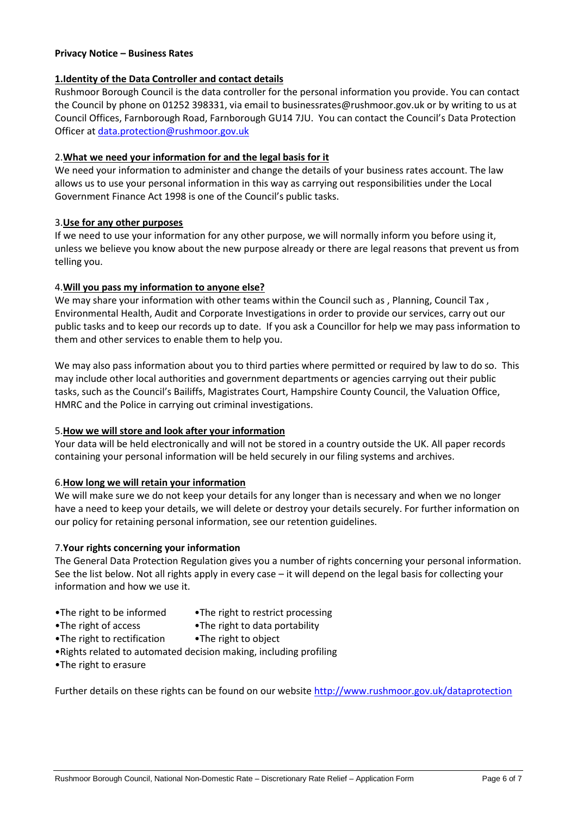#### **Privacy Notice – Business Rates**

#### **1.Identity of the Data Controller and contact details**

Rushmoor Borough Council is the data controller for the personal information you provide. You can contact the Council by phone on 01252 398331, via email to businessrates@rushmoor.gov.uk or by writing to us at Council Offices, Farnborough Road, Farnborough GU14 7JU. You can contact the Council's Data Protection Officer at [data.protection@rushmoor.gov.uk](mailto:data.protection@rushmoor.gov.uk)

#### 2.**What we need your information for and the legal basis for it**

We need your information to administer and change the details of your business rates account. The law allows us to use your personal information in this way as carrying out responsibilities under the Local Government Finance Act 1998 is one of the Council's public tasks.

#### 3.**Use for any other purposes**

If we need to use your information for any other purpose, we will normally inform you before using it, unless we believe you know about the new purpose already or there are legal reasons that prevent us from telling you.

### 4.**Will you pass my information to anyone else?**

We may share your information with other teams within the Council such as , Planning, Council Tax , Environmental Health, Audit and Corporate Investigations in order to provide our services, carry out our public tasks and to keep our records up to date. If you ask a Councillor for help we may pass information to them and other services to enable them to help you.

We may also pass information about you to third parties where permitted or required by law to do so. This may include other local authorities and government departments or agencies carrying out their public tasks, such as the Council's Bailiffs, Magistrates Court, Hampshire County Council, the Valuation Office, HMRC and the Police in carrying out criminal investigations.

#### 5.**How we will store and look after your information**

Your data will be held electronically and will not be stored in a country outside the UK. All paper records containing your personal information will be held securely in our filing systems and archives.

### 6.**How long we will retain your information**

We will make sure we do not keep your details for any longer than is necessary and when we no longer have a need to keep your details, we will delete or destroy your details securely. For further information on our policy for retaining personal information, see our retention guidelines.

### 7.**Your rights concerning your information**

The General Data Protection Regulation gives you a number of rights concerning your personal information. See the list below. Not all rights apply in every case – it will depend on the legal basis for collecting your information and how we use it.

- •The right to be informed •The right to restrict processing
	-
- •The right of access •The right to data portability
- •The right to rectification •The right to object
- •Rights related to automated decision making, including profiling
- •The right to erasure

Further details on these rights can be found on our website<http://www.rushmoor.gov.uk/dataprotection>